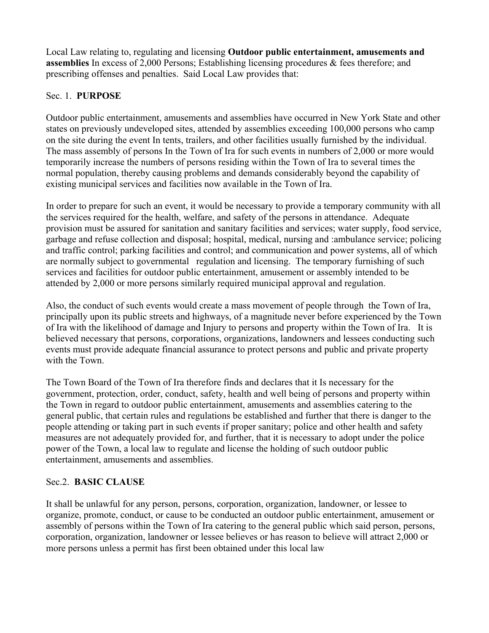Local Law relating to, regulating and licensing **Outdoor public entertainment, amusements and assemblies** In excess of 2,000 Persons; Establishing licensing procedures & fees therefore; and prescribing offenses and penalties. Said Local Law provides that:

#### Sec. 1. **PURPOSE**

Outdoor public entertainment, amusements and assemblies have occurred in New York State and other states on previously undeveloped sites, attended by assemblies exceeding 100,000 persons who camp on the site during the event In tents, trailers, and other facilities usually furnished by the individual. The mass assembly of persons In the Town of Ira for such events in numbers of 2,000 or more would temporarily increase the numbers of persons residing within the Town of Ira to several times the normal population, thereby causing problems and demands considerably beyond the capability of existing municipal services and facilities now available in the Town of Ira.

In order to prepare for such an event, it would be necessary to provide a temporary community with all the services required for the health, welfare, and safety of the persons in attendance. Adequate provision must be assured for sanitation and sanitary facilities and services; water supply, food service, garbage and refuse collection and disposal; hospital, medical, nursing and :ambulance service; policing and traffic control; parking facilities and control; and communication and power systems, all of which are normally subject to governmental regulation and licensing. The temporary furnishing of such services and facilities for outdoor public entertainment, amusement or assembly intended to be attended by 2,000 or more persons similarly required municipal approval and regulation.

Also, the conduct of such events would create a mass movement of people through the Town of Ira, principally upon its public streets and highways, of a magnitude never before experienced by the Town of Ira with the likelihood of damage and Injury to persons and property within the Town of Ira. It is believed necessary that persons, corporations, organizations, landowners and lessees conducting such events must provide adequate financial assurance to protect persons and public and private property with the Town.

The Town Board of the Town of Ira therefore finds and declares that it Is necessary for the government, protection, order, conduct, safety, health and well being of persons and property within the Town in regard to outdoor public entertainment, amusements and assemblies catering to the general public, that certain rules and regulations be established and further that there is danger to the people attending or taking part in such events if proper sanitary; police and other health and safety measures are not adequately provided for, and further, that it is necessary to adopt under the police power of the Town, a local law to regulate and license the holding of such outdoor public entertainment, amusements and assemblies.

# Sec.2. **BASIC CLAUSE**

It shall be unlawful for any person, persons, corporation, organization, landowner, or lessee to organize, promote, conduct, or cause to be conducted an outdoor public entertainment, amusement or assembly of persons within the Town of Ira catering to the general public which said person, persons, corporation, organization, landowner or lessee believes or has reason to believe will attract 2,000 or more persons unless a permit has first been obtained under this local law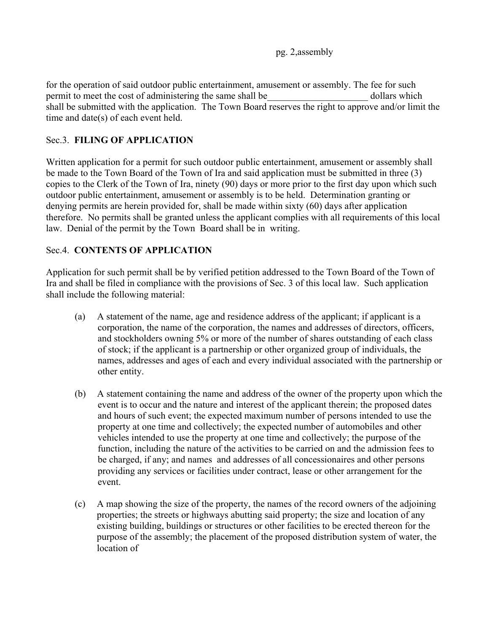pg. 2,assembly

for the operation of said outdoor public entertainment, amusement or assembly. The fee for such permit to meet the cost of administering the same shall be  $\qquad \qquad$  dollars which shall be submitted with the application. The Town Board reserves the right to approve and/or limit the time and date(s) of each event held.

## Sec.3. **FILING OF APPLICATION**

Written application for a permit for such outdoor public entertainment, amusement or assembly shall be made to the Town Board of the Town of Ira and said application must be submitted in three (3) copies to the Clerk of the Town of Ira, ninety (90) days or more prior to the first day upon which such outdoor public entertainment, amusement or assembly is to be held. Determination granting or denying permits are herein provided for, shall be made within sixty (60) days after application therefore. No permits shall be granted unless the applicant complies with all requirements of this local law. Denial of the permit by the Town Board shall be in writing.

## Sec.4. **CONTENTS OF APPLICATION**

Application for such permit shall be by verified petition addressed to the Town Board of the Town of Ira and shall be filed in compliance with the provisions of Sec. 3 of this local law. Such application shall include the following material:

- (a) A statement of the name, age and residence address of the applicant; if applicant is a corporation, the name of the corporation, the names and addresses of directors, officers, and stockholders owning 5% or more of the number of shares outstanding of each class of stock; if the applicant is a partnership or other organized group of individuals, the names, addresses and ages of each and every individual associated with the partnership or other entity.
- (b) A statement containing the name and address of the owner of the property upon which the event is to occur and the nature and interest of the applicant therein; the proposed dates and hours of such event; the expected maximum number of persons intended to use the property at one time and collectively; the expected number of automobiles and other vehicles intended to use the property at one time and collectively; the purpose of the function, including the nature of the activities to be carried on and the admission fees to be charged, if any; and names and addresses of all concessionaires and other persons providing any services or facilities under contract, lease or other arrangement for the event.
- (c) A map showing the size of the property, the names of the record owners of the adjoining properties; the streets or highways abutting said property; the size and location of any existing building, buildings or structures or other facilities to be erected thereon for the purpose of the assembly; the placement of the proposed distribution system of water, the location of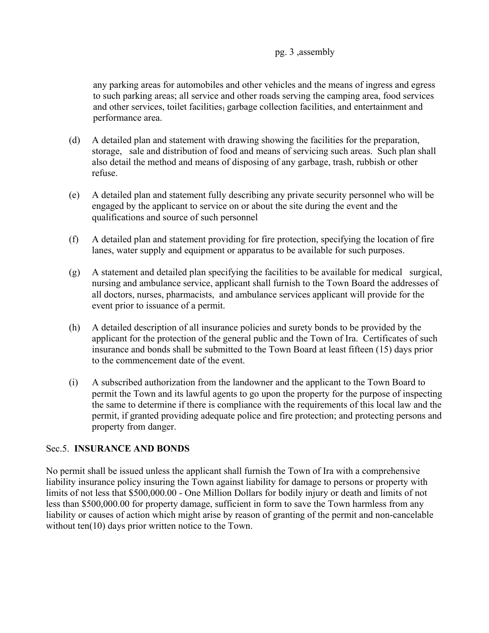#### pg. 3 ,assembly

any parking areas for automobiles and other vehicles and the means of ingress and egress to such parking areas; all service and other roads serving the camping area, food services and other services, toilet facilities<sub>1</sub> garbage collection facilities, and entertainment and performance area.

- (d) A detailed plan and statement with drawing showing the facilities for the preparation, storage, sale and distribution of food and means of servicing such areas. Such plan shall also detail the method and means of disposing of any garbage, trash, rubbish or other refuse.
- (e) A detailed plan and statement fully describing any private security personnel who will be engaged by the applicant to service on or about the site during the event and the qualifications and source of such personnel
- (f) A detailed plan and statement providing for fire protection, specifying the location of fire lanes, water supply and equipment or apparatus to be available for such purposes.
- (g) A statement and detailed plan specifying the facilities to be available for medical surgical, nursing and ambulance service, applicant shall furnish to the Town Board the addresses of all doctors, nurses, pharmacists, and ambulance services applicant will provide for the event prior to issuance of a permit.
- (h) A detailed description of all insurance policies and surety bonds to be provided by the applicant for the protection of the general public and the Town of Ira. Certificates of such insurance and bonds shall be submitted to the Town Board at least fifteen (15) days prior to the commencement date of the event.
- (i) A subscribed authorization from the landowner and the applicant to the Town Board to permit the Town and its lawful agents to go upon the property for the purpose of inspecting the same to determine if there is compliance with the requirements of this local law and the permit, if granted providing adequate police and fire protection; and protecting persons and property from danger.

#### Sec.5. **INSURANCE AND BONDS**

No permit shall be issued unless the applicant shall furnish the Town of Ira with a comprehensive liability insurance policy insuring the Town against liability for damage to persons or property with limits of not less that \$500,000.00 - One Million Dollars for bodily injury or death and limits of not less than \$500,000.00 for property damage, sufficient in form to save the Town harmless from any liability or causes of action which might arise by reason of granting of the permit and non-cancelable without ten(10) days prior written notice to the Town.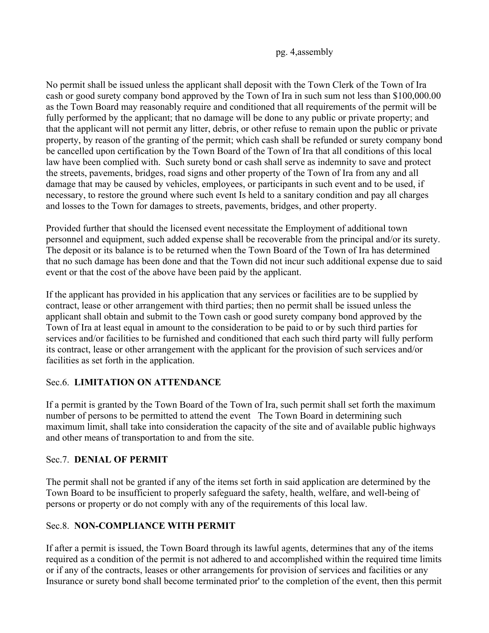pg. 4,assembly

No permit shall be issued unless the applicant shall deposit with the Town Clerk of the Town of Ira cash or good surety company bond approved by the Town of Ira in such sum not less than \$100,000.00 as the Town Board may reasonably require and conditioned that all requirements of the permit will be fully performed by the applicant; that no damage will be done to any public or private property; and that the applicant will not permit any litter, debris, or other refuse to remain upon the public or private property, by reason of the granting of the permit; which cash shall be refunded or surety company bond be cancelled upon certification by the Town Board of the Town of Ira that all conditions of this local law have been complied with. Such surety bond or cash shall serve as indemnity to save and protect the streets, pavements, bridges, road signs and other property of the Town of Ira from any and all damage that may be caused by vehicles, employees, or participants in such event and to be used, if necessary, to restore the ground where such event Is held to a sanitary condition and pay all charges and losses to the Town for damages to streets, pavements, bridges, and other property.

Provided further that should the licensed event necessitate the Employment of additional town personnel and equipment, such added expense shall be recoverable from the principal and/or its surety. The deposit or its balance is to be returned when the Town Board of the Town of Ira has determined that no such damage has been done and that the Town did not incur such additional expense due to said event or that the cost of the above have been paid by the applicant.

If the applicant has provided in his application that any services or facilities are to be supplied by contract, lease or other arrangement with third parties; then no permit shall be issued unless the applicant shall obtain and submit to the Town cash or good surety company bond approved by the Town of Ira at least equal in amount to the consideration to be paid to or by such third parties for services and/or facilities to be furnished and conditioned that each such third party will fully perform its contract, lease or other arrangement with the applicant for the provision of such services and/or facilities as set forth in the application.

# Sec.6. **LIMITATION ON ATTENDANCE**

If a permit is granted by the Town Board of the Town of Ira, such permit shall set forth the maximum number of persons to be permitted to attend the event The Town Board in determining such maximum limit, shall take into consideration the capacity of the site and of available public highways and other means of transportation to and from the site.

# Sec.7. **DENIAL OF PERMIT**

The permit shall not be granted if any of the items set forth in said application are determined by the Town Board to be insufficient to properly safeguard the safety, health, welfare, and well-being of persons or property or do not comply with any of the requirements of this local law.

# Sec.8. **NON-COMPLIANCE WITH PERMIT**

If after a permit is issued, the Town Board through its lawful agents, determines that any of the items required as a condition of the permit is not adhered to and accomplished within the required time limits or if any of the contracts, leases or other arrangements for provision of services and facilities or any Insurance or surety bond shall become terminated prior' to the completion of the event, then this permit